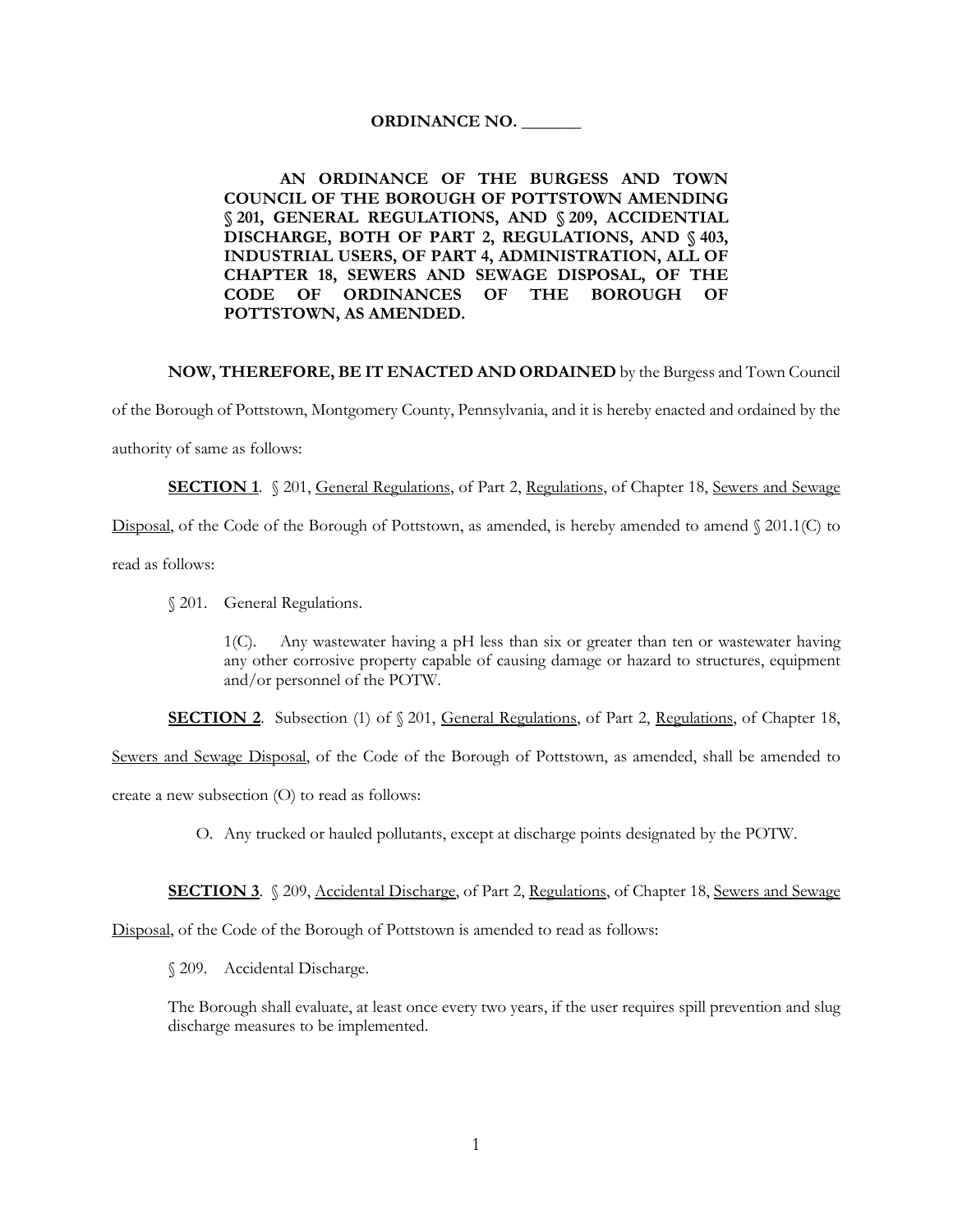## **ORDINANCE NO. \_\_\_\_\_\_\_**

## **AN ORDINANCE OF THE BURGESS AND TOWN COUNCIL OF THE BOROUGH OF POTTSTOWN AMENDING § 201, GENERAL REGULATIONS, AND § 209, ACCIDENTIAL DISCHARGE, BOTH OF PART 2, REGULATIONS, AND § 403, INDUSTRIAL USERS, OF PART 4, ADMINISTRATION, ALL OF CHAPTER 18, SEWERS AND SEWAGE DISPOSAL, OF THE CODE OF ORDINANCES OF THE BOROUGH OF POTTSTOWN, AS AMENDED.**

## **NOW, THEREFORE, BE IT ENACTED AND ORDAINED** by the Burgess and Town Council

of the Borough of Pottstown, Montgomery County, Pennsylvania, and it is hereby enacted and ordained by the

authority of same as follows:

**SECTION 1.** § 201, General Regulations, of Part 2, Regulations, of Chapter 18, Sewers and Sewage

Disposal, of the Code of the Borough of Pottstown, as amended, is hereby amended to amend § 201.1(C) to

read as follows:

§ 201. General Regulations.

1(C). Any wastewater having a pH less than six or greater than ten or wastewater having any other corrosive property capable of causing damage or hazard to structures, equipment and/or personnel of the POTW.

**SECTION 2.** Subsection (1) of  $\sqrt{201}$ , General Regulations, of Part 2, Regulations, of Chapter 18,

Sewers and Sewage Disposal, of the Code of the Borough of Pottstown, as amended, shall be amended to

create a new subsection (O) to read as follows:

O. Any trucked or hauled pollutants, except at discharge points designated by the POTW.

**SECTION 3**. § 209, Accidental Discharge, of Part 2, Regulations, of Chapter 18, Sewers and Sewage

Disposal, of the Code of the Borough of Pottstown is amended to read as follows:

§ 209. Accidental Discharge.

The Borough shall evaluate, at least once every two years, if the user requires spill prevention and slug discharge measures to be implemented.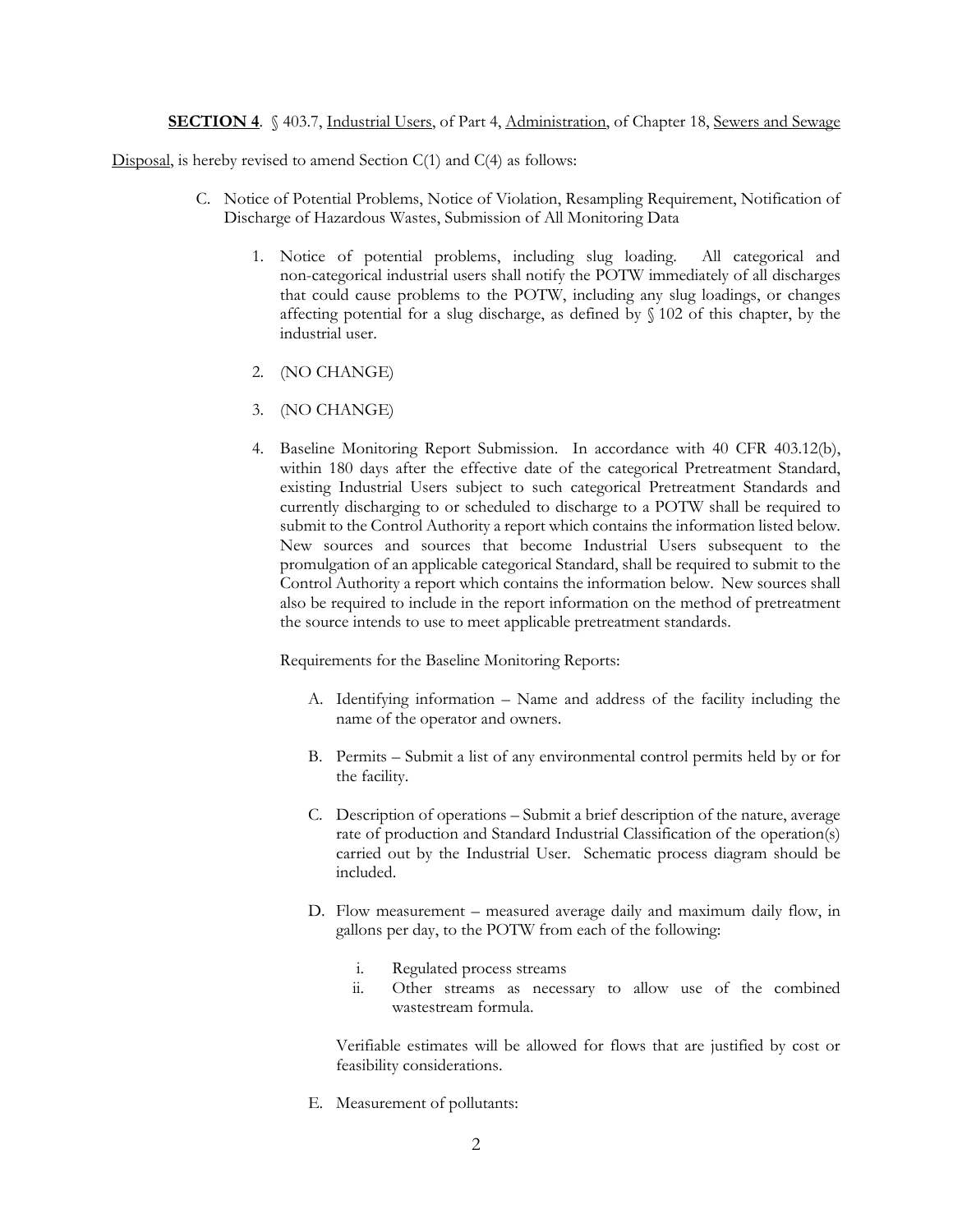**SECTION 4.** § 403.7, Industrial Users, of Part 4, Administration, of Chapter 18, Sewers and Sewage

Disposal, is hereby revised to amend Section  $C(1)$  and  $C(4)$  as follows:

- C. Notice of Potential Problems, Notice of Violation, Resampling Requirement, Notification of Discharge of Hazardous Wastes, Submission of All Monitoring Data
	- 1. Notice of potential problems, including slug loading. All categorical and non-categorical industrial users shall notify the POTW immediately of all discharges that could cause problems to the POTW, including any slug loadings, or changes affecting potential for a slug discharge, as defined by § 102 of this chapter, by the industrial user.
	- 2. (NO CHANGE)
	- 3. (NO CHANGE)
	- 4. Baseline Monitoring Report Submission. In accordance with 40 CFR 403.12(b), within 180 days after the effective date of the categorical Pretreatment Standard, existing Industrial Users subject to such categorical Pretreatment Standards and currently discharging to or scheduled to discharge to a POTW shall be required to submit to the Control Authority a report which contains the information listed below. New sources and sources that become Industrial Users subsequent to the promulgation of an applicable categorical Standard, shall be required to submit to the Control Authority a report which contains the information below. New sources shall also be required to include in the report information on the method of pretreatment the source intends to use to meet applicable pretreatment standards.

Requirements for the Baseline Monitoring Reports:

- A. Identifying information Name and address of the facility including the name of the operator and owners.
- B. Permits Submit a list of any environmental control permits held by or for the facility.
- C. Description of operations Submit a brief description of the nature, average rate of production and Standard Industrial Classification of the operation(s) carried out by the Industrial User. Schematic process diagram should be included.
- D. Flow measurement measured average daily and maximum daily flow, in gallons per day, to the POTW from each of the following:
	- i. Regulated process streams
	- ii. Other streams as necessary to allow use of the combined wastestream formula.

Verifiable estimates will be allowed for flows that are justified by cost or feasibility considerations.

E. Measurement of pollutants: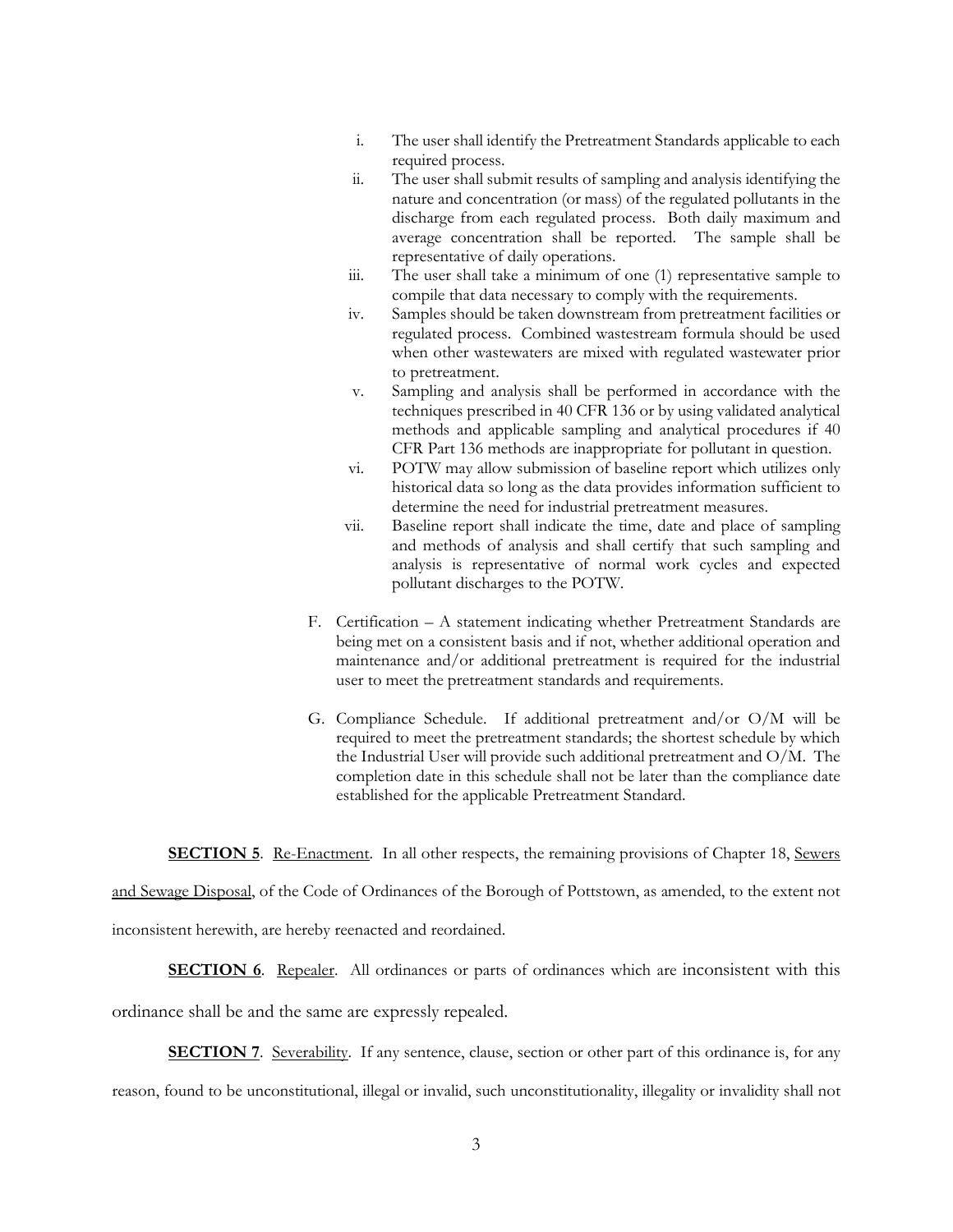- i. The user shall identify the Pretreatment Standards applicable to each required process.
- ii. The user shall submit results of sampling and analysis identifying the nature and concentration (or mass) of the regulated pollutants in the discharge from each regulated process. Both daily maximum and average concentration shall be reported. The sample shall be representative of daily operations.
- iii. The user shall take a minimum of one (1) representative sample to compile that data necessary to comply with the requirements.
- iv. Samples should be taken downstream from pretreatment facilities or regulated process. Combined wastestream formula should be used when other wastewaters are mixed with regulated wastewater prior to pretreatment.
- v. Sampling and analysis shall be performed in accordance with the techniques prescribed in 40 CFR 136 or by using validated analytical methods and applicable sampling and analytical procedures if 40 CFR Part 136 methods are inappropriate for pollutant in question.
- vi. POTW may allow submission of baseline report which utilizes only historical data so long as the data provides information sufficient to determine the need for industrial pretreatment measures.
- vii. Baseline report shall indicate the time, date and place of sampling and methods of analysis and shall certify that such sampling and analysis is representative of normal work cycles and expected pollutant discharges to the POTW.
- F. Certification A statement indicating whether Pretreatment Standards are being met on a consistent basis and if not, whether additional operation and maintenance and/or additional pretreatment is required for the industrial user to meet the pretreatment standards and requirements.
- G. Compliance Schedule. If additional pretreatment and/or O/M will be required to meet the pretreatment standards; the shortest schedule by which the Industrial User will provide such additional pretreatment and O/M. The completion date in this schedule shall not be later than the compliance date established for the applicable Pretreatment Standard.

**SECTION 5**. Re-Enactment. In all other respects, the remaining provisions of Chapter 18, Sewers

and Sewage Disposal, of the Code of Ordinances of the Borough of Pottstown, as amended, to the extent not inconsistent herewith, are hereby reenacted and reordained.

**SECTION 6**. Repealer. All ordinances or parts of ordinances which are inconsistent with this

ordinance shall be and the same are expressly repealed.

**SECTION 7.** Severability. If any sentence, clause, section or other part of this ordinance is, for any

reason, found to be unconstitutional, illegal or invalid, such unconstitutionality, illegality or invalidity shall not